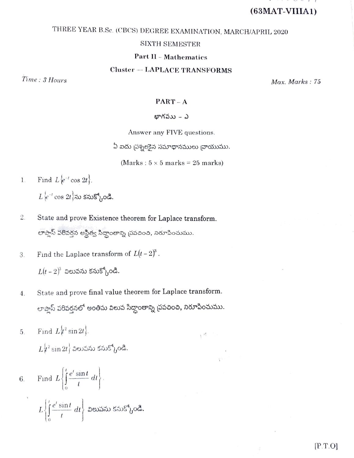# $(63<sub>MAT-VIIIA1</sub>)$

# THREE YEAR B.Sc. (CBCS) DEGREE EXAMINATION, MARCH/APRIL 2020

# **SIXTH SEMESTER**

# **Part II - Mathematics**

# **Cluster - LAPLACE TRANSFORMS**

Time: 3 Hours

Max. Marks: 75

 $PART-A$ 

# భాగవుు – ఎ

Answer any FIVE questions.

ఏ ఐదు చ్రశ్నలకైన సమాధానములు చాయుము.

(Marks:  $5 \times 5$  marks = 25 marks)

 $\Lambda^{N}$ 

- Find  $L\{e^{-t}\cos 2t\}$ .  $\mathbf{1}$ .  $L$  $\{e^{-t} \cos 2t\}$ ను కనుక్కోండి.
- $2.$ State and prove Existence theorem for Laplace transform. లాప్లాస్ పరివర్తన అస్థిత్వ సిద్ధాంతాన్ని చ్రవచించి, నిరూపించుము.
- Find the Laplace transform of  $L(t-2)^3$ . 3.  $L(t-2)^3$  విలువను కనుక్కోండి.
- State and prove final value theorem for Laplace transform.  $4.$ లాప్లాస్ పరివర్తనలో అంతిమ విలువ సిద్ధాంతాన్ని ప్రవచించి, నిరూపించుము.
- Find  $L\{t^2\sin 2t\}$ . 5.  $L^{1/2}$   $\sin 2t$  ) విలువను కనుక్కోండి.

6. Find 
$$
L\left\{\int_{0}^{t} \frac{e^{t} \sin t}{t} dt\right\}
$$
.  
 $L\left\{\int_{0}^{t} \frac{e^{t} \sin t}{t} dt\right\}$ 2*ev*3*xy*5*xyo*8*x*.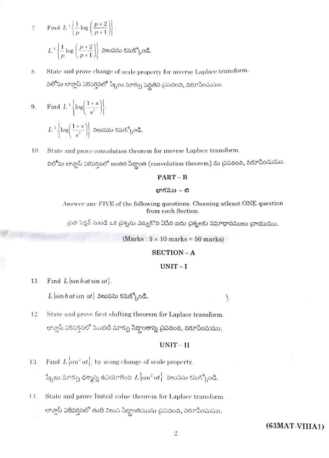7. Find 
$$
L^{-1} \left\{ \frac{1}{p} \log \left( \frac{p+2}{p+1} \right) \right\}
$$
.  
 $L^{-1} \left\{ \frac{1}{p} \log \left( \frac{p+2}{p+1} \right) \right\}$  seusas uss<sup>6</sup>  $\log$ 

- State and prove change of scale property for inverse Laplace transform. 8. విలోమ లాప్లాస్ పరివర్తనలో స్కేలు మార్పు పద్ధతిని ప్రపచించి, నిరూపించుము.
- Find  $L^{-1}\left\{\log\left(\frac{1+s}{s^2}\right)\right\}.$  $9.$  $L^{-1}\left\{\log\left(\frac{1+s}{s^2}\right)\right\}$  విలువను కనుక్కోండి.
- 10. State and prove convolution theorem for inverse Laplace transform.

విలోమ లాప్లాస్ పరిపర్తినలో అంతర సిద్ధాంత (convolution theorem) ను చ్రవచించి, నిరూపించుము.

#### $PART - B$

#### భాగవుు – బి

Answer any FIVE of the following questions. Choosing atleast ONE question from each Section.

్రవతి సెక్షన్ నుండి ఒక (పశ్నను ఎన్నుకొని ఏపేని ఐదు (పశ్నలకు సమాధానములు వ్రాయుము.

 $(Marks: 5 \times 10 marks = 50 marks)$ 

#### **SECTION - A**

## $UNIT-I$

 $\overline{\mathcal{L}}$ 

Find  $L$  sin hat sin at. 11.

 $L$  sin hat sin at and several states,  $o$ &.

12. State and prove first shifting theorem for Laplace transform. లాప్లాస్ పరివర్తనలో మొదటి మార్పు సిద్ధాంతాన్ని చ్రవచించి, నిరూపించుము.

# $UNIT-II$

- Find  $L\left\{\sin^2\alpha t\right\}$ ; by using change of scale property. 13. స్కేలు మార్పు ధర్మాన్ని ఉపయోగించి  $L \{\sin^2 at\}$  విలువను కనుక్కోండి.
- 14. State and prove Initial value theorem for Laplace transform. లాప్లాస్ పరివర్తనలో తుది విలువ సిద్ధాంతమును <sub>(</sub>పవచించి, నిరూపించుము*.*